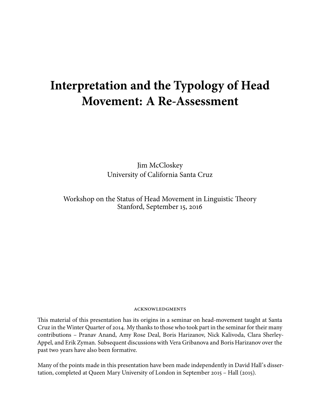# **Interpretation and the Typology of Head Movement: A Re-Assessment**

Jim McCloskey University of California Santa Cruz

Workshop on the Status of Head Movement in Linguistic Theory Stanford, September 15, 2016

#### **ACKNOWLEDGMENTS**

This material of this presentation has its origins in a seminar on head-movement taught at Santa Cruz in the Winter Quarter of 2014. My thanks to those who took part in the seminar for their many contributions – Pranav Anand, Amy Rose Deal, Boris Harizanov, Nick Kalivoda, Clara Sherley-Appel, and Erik Zyman. Subsequent discussions with Vera Gribanova and Boris Harizanov over the past two years have also been formative.

Many of the points made in this presentation have been made independently in David Hall's dissertation, completed at Queen Mary University of London in September 2015 – Hall (2015).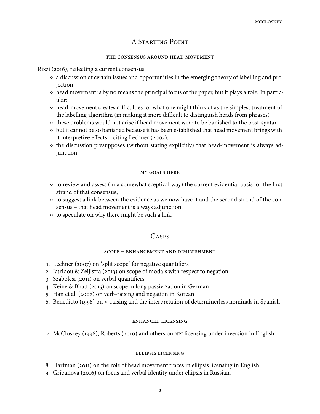# A STARTING POINT

#### THE CONSENSUS AROUND HEAD MOVEMENT

Rizzi (2016), reflecting a current consensus:

- a discussion of certain issues and opportunities in the emerging theory of labelling and projection
- $\circ$  head movement is by no means the principal focus of the paper, but it plays a role. In particular:
- head-movement creates difficulties for what one might think of as the simplest treatment of the labelling algorithm (in making it more difficult to distinguish heads from phrases)
- these problems would not arise if head movement were to be banished to the post-syntax.
- but it cannot be so banished because it has been established that head movement brings with it interpretive effects  $-$  citing Lechner (2007).
- $\circ$  the discussion presupposes (without stating explicitly) that head-movement is always adjunction.

#### **MY GOALS HERE**

- $\circ$  to review and assess (in a somewhat sceptical way) the current evidential basis for the first strand of that consensus,
- $\circ$  to suggest a link between the evidence as we now have it and the second strand of the consensus – that head movement is always adjunction.
- to speculate on why there might be such a link.

# **CASES**

# SCOPE - ENHANCEMENT AND DIMINISHMENT

- 1. Lechner (2007) on 'split scope' for negative quantifiers
- 2. Iatridou  $\&$  Zeijlstra (2013) on scope of modals with respect to negation
- 3. Szabolcsi (2011) on verbal quantifiers
- 4. Keine & Bhatt (2015) on scope in long passivization in German
- 5. Han et al. (2007) on verb-raising and negation in Korean
- 6. Benedicto (1998) on v-raising and the interpretation of determinerless nominals in Spanish

## **ENHANCED LICENSING**

7. McCloskey (1996), Roberts (2010) and others on NPI licensing under inversion in English.

## **ELLIPSIS LICENSING**

8. Hartman (2011) on the role of head movement traces in ellipsis licensing in English

9. Gribanova (2016) on focus and verbal identity under ellipsis in Russian.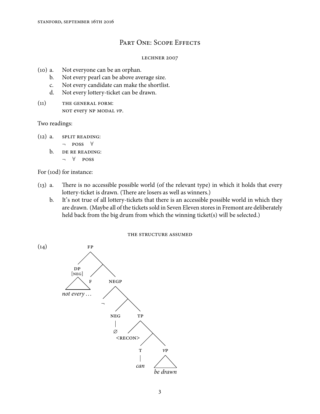# PART ONE: SCOPE EFFECTS

## LECHNER 2007

- (10) a. Not everyone can be an orphan.
	- b. Not every pearl can be above average size.
	- c. Not every candidate can make the shortlist.
	- d. Not every lottery-ticket can be drawn.
- $(11)$  THE GENERAL FORM: NOT every NP MODAL VP.

## Two readings:

 $(12)$  a. SPLIT READING:

 $\neg$  **POSS**  $\forall$ 

- b. DE RE READING:
	- $\neg$   $\forall$  POSS

For (10d) for instance:

- $(13)$  a. There is no accessible possible world (of the relevant type) in which it holds that every lottery-ticket is drawn. (There are losers as well as winners.)
	- b. It's not true of all lottery-tickets that there is an accessible possible world in which they are drawn. (Maybe all of the tickets sold in Seven Eleven stores in Fremont are deliberately held back from the big drum from which the winning ticket(s) will be selected.)

THE STRUCTURE ASSUMED

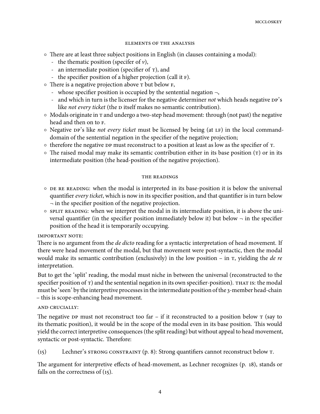#### **ELEMENTS OF THE ANALYSIS**

- $\circ$  There are at least three subject positions in English (in clauses containing a modal):
	- the thematic position (specifer of  $\nu$ ),
	- an intermediate position (specifier of  $\tau$ ), and
	- the specifier position of a higher projection (call it F).
- $\circ$  There is a negative projection above  $\tau$  but below  $\mathbf{F}$ ,
	- whose specifier position is occupied by the sentential negation  $\neg$ ,
	- and which in turn is the licenser for the negative determiner *not* which heads negative DP's like *not every ticket* (the *p* itself makes no semantic contribution).
- $\circ$  Modals originate in  $\tau$  and undergo a two-step head movement: through (not past) the negative head and then on to F.
- $\circ$  Negative  $\pi$ 's like *not every ticket* must be licensed by being (at LF) in the local commanddomain of the sentential negation in the specifier of the negative projection;
- $\circ$  therefore the negative DP must reconstruct to a position at least as low as the specifier of  $\tau$ .
- $\circ$  The raised modal may make its semantic contribution either in its base position ( $\tau$ ) or in its intermediate position (the head-position of the negative projection).

#### THE READINGS

- $\circ$  DE RE READING: when the modal is interpreted in its base-position it is below the universal quantifier *every ticket*, which is now in its specifier position, and that quantifier is in turn below ¬ in the specifier position of the negative projection.
- $\circ$  split reading: when we interpret the modal in its intermediate position, it is above the universal quantifier (in the specifier position immediately below it) but below  $\neg$  in the specifier position of the head it is temporarily occupying.

## **IMPORTANT NOTE:**

There is no argument from the *de dicto* reading for a syntactic interpretation of head movement. If there were head movement of the modal, but that movement were post-syntactic, then the modal would make its semantic contribution (exclusively) in the low position – in  $\tau$ , yielding the *de re* interpretation.

But to get the 'split' reading, the modal must niche in between the universal (reconstructed to the specifier position of  $\tau$ ) and the sentential negation in its own specifier-position). That is: the modal must be 'seen' by the interpretive processes in the intermediate position of the 3-member head-chain – this is scope-enhancing head movement.

## AND CRUCIALLY:

The negative DP must not reconstruct too far – if it reconstructed to a position below  $\tau$  (say to its thematic position), it would be in the scope of the modal even in its base position. This would yield the correct interpretive consequences (the split reading) but without appeal to head movement, syntactic or post-syntactic. Therefore:

 $(15)$  Lechner's STRONG CONSTRAINT  $(p, 8)$ : Strong quantifiers cannot reconstruct below T.

The argument for interpretive effects of head-movement, as Lechner recognizes (p. 18), stands or falls on the correctness of  $(15)$ .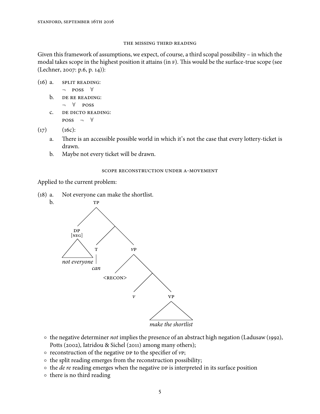#### THE MISSING THIRD READING

Given this framework of assumptions, we expect, of course, a third scopal possibility – in which the modal takes scope in the highest position it attains (in F). This would be the surface-true scope (see  $(Lechner, 2007: p.6, p. 14)$ :

- $(16)$  a. SPLIT READING:
	- $\neg$  **POSS**  $\forall$
	- b. DE RE READING:
		- $\neg$   $\forall$  POSS
	- C. DE DICTO READING:  $Poss \rightarrow \forall$

 $(17)$   $(16c):$ 

- a. There is an accessible possible world in which it's not the case that every lottery-ticket is drawn.
- b. Maybe not every ticket will be drawn.

## SCOPE RECONSTRUCTION UNDER A-MOVEMENT

Applied to the current problem:

(18) a. Not everyone can make the shortlist.



- o the negative determiner not implies the presence of an abstract high negation (Ladusaw (1992), Potts (2002), Iatridou & Sichel (2011) among many others);
- $\circ$  reconstruction of the negative DP to the specifier of vP;
- the split reading emerges from the reconstruction possibility;
- $\circ$  the *de re* reading emerges when the negative  $\circ$  is interpreted in its surface position
- there is no third reading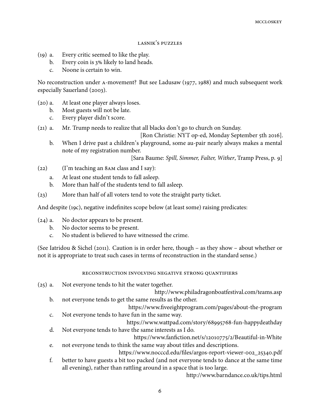#### LASNIK'S PUZZLES

- $(19)$  a. Every critic seemed to like the play.
	- b. Every coin is  $3\%$  likely to land heads.
	- c. Noone is certain to win.

No reconstruction under A-movement? But see Ladusaw (1977, 1988) and much subsequent work especially Sauerland (2003).

- $(20)$  a. At least one player always loses.
	- b. Most guests will not be late.
	- c. Every player didn't score.
- $(21)$  a. Mr. Trump needs to realize that all blacks don't go to church on Sunday.

[Ron Christie: NYT op-ed, Monday September 5th 2016].

b. When I drive past a children's playground, some au-pair nearly always makes a mental note of my registration number.

[Sara Baume: Spill, Simmer, Falter, Wither, Tramp Press, p. 9]

- $(22)$  (I'm teaching an 8AM class and I say):
	- a. At least one student tends to fall asleep.
	- b. More than half of the students tend to fall asleep.
- (23) More than half of all voters tend to vote the straight party ticket.

And despite  $(19c)$ , negative indefinites scope below (at least some) raising predicates:

- $(24)$  a. No doctor appears to be present.
	- b. No doctor seems to be present.
	- c. No student is believed to have witnessed the crime.

(See Iatridou & Sichel (2011). Caution is in order here, though – as they show – about whether or not it is appropriate to treat such cases in terms of reconstruction in the standard sense.)

## RECONSTRUCTION INVOLVING NEGATIVE STRONG QUANTIFIERS

- $(25)$  a. Not everyone tends to hit the water together.
	- http://www.philadragonboatfestival.com/teams.asp b. not everyone tends to get the same results as the other.

https://www.fiveeightprogram.com/pages/about-the-program c. Not everyone tends to have fun in the same way.

https://www.wattpad.com/story/68995768-fun-happydeathday d. Not everyone tends to have the same interests as I do.

https://www.fanfiction.net/s/12010775/2/Beautiful-in-White e. not everyone tends to think the same way about titles and descriptions.

https://www.nocccd.edu/files/argos-report-viewer-002\_25340.pdf

f. better to have guests a bit too packed (and not everyone tends to dance at the same time all evening), rather than rattling around in a space that is too large.

http://www.barndance.co.uk/tips.html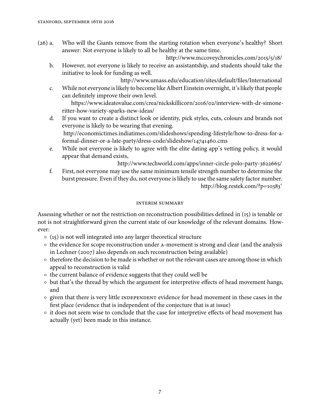(26) a. Who will the Giants remove from the starting rotation when everyone's healthy? Short answer: Not everyone is likely to all be healthy at the same time.

http://www.mccoveychronicles.com/2015/5/18/

b. However, not everyone is likely to receive an assistantship, and students should take the initiative to look for funding as well.

http://www.umass.edu/education/sites/default/files/International c. While not everyone is likely to become like Albert Einstein overnight, it's likely that people can definitely improve their own level.

https://www.ideatovalue.com/crea/nickskillicorn/2016/02/interview-with-dr-simoneritter-how-variety-sparks-new-ideas/

d. If you want to create a distinct look or identity, pick styles, cuts, colours and brands not everyone is likely to be wearing that evening. http://economictimes.indiatimes.com/slideshows/spending-lifestyle/how-to-dress-for-a-

formal-dinner-or-a-late-party/dress-code/slideshow/14741460.cms

e. While not everyone is likely to agree with the elite dating app's vetting policy, it would appear that demand exists,

http://www.techworld.com/apps/inner-circle-polo-party-3622665/

f. First, not everyone may use the same minimum tensile strength number to determine the burst pressure. Even if they do, not everyone is likely to use the same safety factor number. http://blog.restek.com/?p=10383'

## **INTERIM SUMMARY**

Assessing whether or not the restriction on reconstruction possibilities defined in  $(i5)$  is tenable or not is not straightforward given the current state of our knowledge of the relevant domains. However:

- $\circ$  (15) is not well integrated into any larger theoretical structure
- o the evidence for scope reconstruction under A-movement is strong and clear (and the analysis in Lechner (2007) also depends on such reconstruction being available)
- therefore the decision to be made is whether or not the relevant cases are among those in which appeal to reconstruction is valid
- the current balance of evidence suggests that they could well be
- but that's the thread by which the argument for interpretive effects of head movement hangs, and
- $\circ$  given that there is very little INDEPENDENT evidence for head movement in these cases in the first place (evidence that is independent of the conjecture that is at issue)
- it does not seem wise to conclude that the case for interpretive effects of head movement has actually (yet) been made in this instance.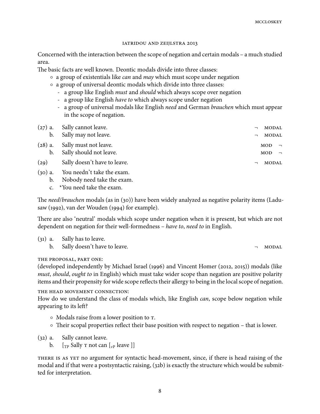#### IATRIDOU AND ZEIJLSTRA 2013

Concerned with the interaction between the scope of negation and certain modals – a much studied area.

The basic facts are well known. Deontic modals divide into three classes:

- a group of existentials like *can* and *may* which must scope under negation
- a group of universal deontic modals which divide into three classes:
	- a group like English *must* and *should* which always scope over negation
	- a group like English *have to* which always scope under negation
	- a group of universal modals like English *need* and German brauchen which must appear in the scope of negation.

| $\mathbf{b}$ . | $(27)$ a. Sally cannot leave.<br>Sally may not leave.    | MODAL<br>$\overline{\phantom{0}}$<br>MODAL<br>$\overline{\phantom{0}}$ |
|----------------|----------------------------------------------------------|------------------------------------------------------------------------|
| b.             | (28) a. Sally must not leave.<br>Sally should not leave. | MOD<br>$\overline{\phantom{0}}$<br>MOD<br>$\Box$                       |
| (29)           | Sally doesn't have to leave.                             | MODAL<br>$\overline{\phantom{0}}$                                      |
| $(30)$ a.      | You needn't take the exam.                               |                                                                        |

- b. Nobody need take the exam.
	- c. \*You need take the exam.

The *need/brauchen* modals (as in (30)) have been widely analyzed as negative polarity items (Ladusaw (1992), van der Wouden (1994) for example).

There are also 'neutral' modals which scope under negation when it is present, but which are not dependent on negation for their well-formedness – have to, need to in English.

| $(31)$ a. Sally has to leave.   |       |
|---------------------------------|-------|
| b. Sally doesn't have to leave. | MODAL |

# THE PROPOSAL, PART ONE:

(developed independently by Michael Israel (1996) and Vincent Homer (2012, 2015)) modals (like must, should, ought to in English) which must take wider scope than negation are positive polarity items and their propensity for wide scope reflects their allergy to being in the local scope of negation.

THE HEAD MOVEMENT CONNECTION:

How do we understand the class of modals which, like English *can*, scope below negation while appearing to its left?

- Modals raise from a lower position to  $\tau$ .
- Their scopal properties reflect their base position with respect to negation that is lower.
- $(32)$  a. Sally cannot leave.
	- b.  $[\text{TP} \text{ Sally } \text{T} \text{ not can } [\text{VP} \text{ leave } ]]$

THERE IS AS YET no argument for syntactic head-movement, since, if there is head raising of the modal and if that were a postsyntactic raising, (32b) is exactly the structure which would be submitted for interpretation.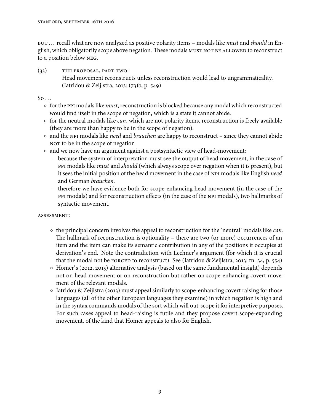BUT ... recall what are now analyzed as positive polarity items - modals like *must* and *should* in English, which obligatorily scope above negation. These modals MUST NOT BE ALLOWED to reconstruct to a position below NEG.

 $(33)$  THE PROPOSAL, PART TWO: Head movement reconstructs unless reconstruction would lead to ungrammaticality. (Iatridou & Zeijlstra, 2013: (73)b, p. 549)

 $So \ldots$ 

- for the PPI modals like *must*, reconstruction is blocked because any modal which reconstructed would find itself in the scope of negation, which is a state it cannot abide.
- $\circ$  for the neutral modals like *can*, which are not polarity items, reconstruction is freely available (they are more than happy to be in the scope of negation).
- and the NPI modals like *need* and *brauchen* are happy to reconstruct since they cannot abide NOT to be in the scope of negation
- and we now have an argument against a postsyntactic view of head-movement:
	- because the system of interpretation must see the output of head movement, in the case of PPI modals like *must* and should (which always scope over negation when it is present), but it sees the initial position of the head movement in the case of NPI modals like English need and German brauchen.
	- therefore we have evidence both for scope-enhancing head movement (in the case of the modals) and for reconstruction effects (in the case of the modals), two hallmarks of syntactic movement.

# ASSESSMENT:

- $\circ$  the principal concern involves the appeal to reconstruction for the 'neutral' modals like *can*. The hallmark of reconstruction is optionality – there are two (or more) occurrences of an item and the item can make its semantic contribution in any of the positions it occupies at derivation's end. Note the contradiction with Lechner's argument (for which it is crucial that the modal not be  $\overline{r}$  force to reconstruct). See (Iatridou & Zeijlstra, 2013: fn. 34, p. 554)
- $\circ$  Homer's (2012, 2015) alternative analysis (based on the same fundamental insight) depends not on head movement or on reconstruction but rather on scope-enhancing covert movement of the relevant modals.
- Iatridou & Zeijlstra (2013) must appeal similarly to scope-enhancing covert raising for those languages (all of the other European languages they examine) in which negation is high and in the syntax commands modals of the sort which will out-scope it for interpretive purposes. For such cases appeal to head-raising is futile and they propose covert scope-expanding movement, of the kind that Homer appeals to also for English.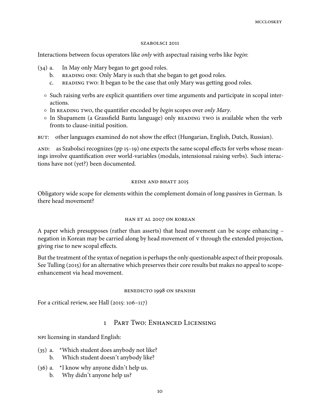#### SZABOLSCI 2011

Interactions between focus operators like only with aspectual raising verbs like begin:

- $(34)$  a. In May only Mary began to get good roles.
	- b. READING ONE: Only Mary is such that she began to get good roles.
	- c. READING TWO: It began to be the case that only Mary was getting good roles.
	- Such raising verbs are explicit quantifiers over time arguments and participate in scopal interactions.
	- $\circ$  In READING TWO, the quantifier encoded by *begin* scopes over *only Mary*.
	- o In Shupamem (a Grassfield Bantu language) only READING TWO is available when the verb fronts to clause-initial position.
- : other languages examined do not show the effect (Hungarian, English, Dutch, Russian).

AND: as Szabolsci recognizes (pp  $15-19$ ) one expects the same scopal effects for verbs whose meanings involve quantification over world-variables (modals, intensionsal raising verbs). Such interactions have not (yet?) been documented.

#### **KEINE AND BHATT 2015**

Obligatory wide scope for elements within the complement domain of long passives in German. Is there head movement?

#### HAN ET AL 2007 ON KOREAN

A paper which presupposes (rather than asserts) that head movement can be scope enhancing – negation in Korean may be carried along by head movement of v through the extended projection, giving rise to new scopal effects.

But the treatment of the syntax of negation is perhaps the only questionable aspect of their proposals. See Tulling (2015) for an alternative which preserves their core results but makes no appeal to scopeenhancement via head movement.

#### BENEDICTO 1998 ON SPANISH

For a critical review, see Hall  $(2015: 106-117)$ 

# 1 PART TWO: ENHANCED LICENSING

NPI licensing in standard English:

- $(35)$  a. \*Which student does anybody not like?
	- b. Which student doesn't anybody like?
- (36) a.  $*$ I know why anyone didn't help us.
	- b. Why didn't anyone help us?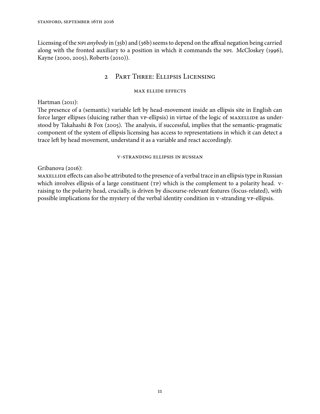Licensing of the NPI anybody in (35b) and (36b) seems to depend on the affixal negation being carried along with the fronted auxiliary to a position in which it commands the NPI. McCloskey (1996), Kayne (2000, 2005), Roberts (2010)).

# 2 PART THREE: ELLIPSIS LICENSING

# **MAX ELLIDE EFFECTS**

Hartman  $(2011)$ :

The presence of a (semantic) variable left by head-movement inside an ellipsis site in English can force larger ellipses (sluicing rather than vp-ellipsis) in virtue of the logic of MAXELLIDE as understood by Takahashi & Fox (2005). The analysis, if successful, implies that the semantic-pragmatic component of the system of ellipsis licensing has access to representations in which it can detect a trace left by head movement, understand it as a variable and react accordingly.

# **V-STRANDING ELLIPSIS IN RUSSIAN**

Gribanova  $(2016)$ :

 effects can also be attributed to the presence of a verbal trace in an ellipsis type in Russian which involves ellipsis of a large constituent (TP) which is the complement to a polarity head. vraising to the polarity head, crucially, is driven by discourse-relevant features (focus-related), with possible implications for the mystery of the verbal identity condition in v-stranding vp-ellipsis.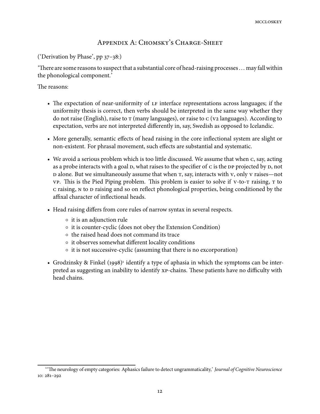# APPENDIX A: CHOMSKY'S CHARGE-SHEET

('Derivation by Phase',  $pp\,37-38$ :)

There are some reasons to suspect that a substantial core of head-raising processes  $\dots$  may fall within the phonological component.'

The reasons:

- The expectation of near-uniformity of LF interface representations across languages; if the uniformity thesis is correct, then verbs should be interpreted in the same way whether they do not raise (English), raise to  $\tau$  (many languages), or raise to  $\sigma$  (v2 languages). According to expectation, verbs are not interpreted differently in, say, Swedish as opposed to Icelandic.
- More generally, semantic effects of head raising in the core inflectional system are slight or non-existent. For phrasal movement, such effects are substantial and systematic.
- We avoid a serious problem which is too little discussed. We assume that when  $c$ , say, acting as a probe interacts with a goal  $D$ , what raises to the specifier of  $C$  is the  $DP$  projected by  $D$ , not D alone. But we simultaneously assume that when T, say, interacts with V, only V raises—not  $VP.$  This is the Pied Piping problem. This problem is easier to solve if  $V$ -to- $T$  raising,  $T$  to c raising, N to D raising and so on reflect phonological properties, being conditioned by the affixal character of inflectional heads.
- Head raising differs from core rules of narrow syntax in several respects.
	- it is an adjunction rule
	- it is counter-cyclic (does not obey the Extension Condition)
	- the raised head does not command its trace
	- it observes somewhat different locality conditions
	- it is not successive-cyclic (assuming that there is no excorporation)
- Grodzinsky & Finkel (1998)<sup>1</sup> identify a type of aphasia in which the symptoms can be interpreted as suggesting an inability to identify  $xp$ -chains. These patients have no difficulty with head chains.

<sup>&</sup>lt;sup>1</sup>'The neurology of empty categories: Aphasics failure to detect ungrammaticality,' Journal of Cognitive Neuroscience  $10: 281 - 292$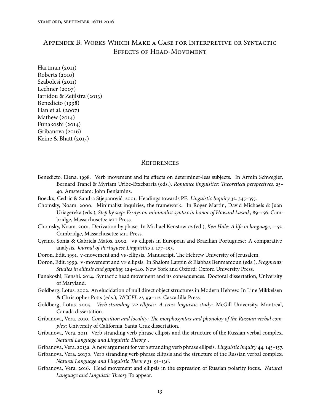# APPENDIX B: WORKS WHICH MAKE A CASE FOR INTERPRETIVE OR SYNTACTIC EFFECTS OF HEAD-MOVEMENT

 $Hartman (2011)$  $Roberts (2010)$ Szabolcsi (2011) Lechner  $(2007)$ Iatridou & Zeijlstra (2013) Benedicto (1998) Han et al.  $(2007)$ Mathew  $(2014)$ Funakoshi (2014) Gribanova (2016) Keine & Bhatt  $(2015)$ 

#### **REFERENCES**

- Benedicto, Elena. 1998. Verb movement and its effects on determiner-less subjects. In Armin Schwegler, Bernard Tranel & Myriam Uribe-Etxebarria (eds.), Romance linguistics: Theoretical perspectives, 25-. Amsterdam: John Benjamins.
- Boeckx, Cedric & Sandra Stjepanović. 2001. Headings towards PF. Linguistic Inquiry 32. 345-355.
- Chomsky, Noam. 2000. Minimalist inquiries, the framework. In Roger Martin, David Michaels & Juan Uriagereka (eds.), Step by step: Essays on minimalist syntax in honor of Howard Lasnik, 89-156. Cambridge, Massachusetts: MIT Press.
- Chomsky, Noam. 2001. Derivation by phase. In Michael Kenstowicz (ed.), Ken Hale: A life in language, 1-52. Cambridge, Massachusetts: MIT Press.
- Cyrino, Sonia & Gabriela Matos. 2002. vp ellipsis in European and Brazilian Portuguese: A comparative analysis. Journal of Portuguese Linguistics  $1.177-195$ .
- Doron, Edit. 1991. V-movement and vp-ellipsis. Manuscript, The Hebrew University of Jerusalem.
- Doron, Edit. 1999. v-movement and vp ellipsis. In Shalom Lappin & Elabbas Benmamoun (eds.), Fragments: Studies in ellipsis and gapping, 124-140. New York and Oxford: Oxford University Press.
- Funakoshi, Kenshi. 2014. Syntactic head movement and its consequences. Doctoral dissertation, University of Maryland.
- Goldberg, Lotus. 2002. An elucidation of null direct object structures in Modern Hebrew. In Line Mikkelsen & Christopher Potts (eds.), WCCFL 21, 99-112. Cascadilla Press.
- Goldberg, Lotus. 2005. Verb-stranding vp ellipsis: A cross-linguistic study: McGill University, Montreal, Canada dissertation.
- Gribanova, Vera. 2010. Composition and locality: The morphosyntax and phonoloy of the Russian verbal complex: University of California, Santa Cruz dissertation.
- Gribanova, Vera. 2011. Verb stranding verb phrase ellipsis and the structure of the Russian verbal complex. Natural Language and Linguistic Theory. .
- Gribanova, Vera. 2013a. A new argument for verb stranding verb phrase ellipsis. Linguistic Inquiry 44. 145-157.
- Gribanova, Vera. 2013b. Verb stranding verb phrase ellipsis and the structure of the Russian verbal complex. Natural Language and Linguistic Theory 31. 91-136.
- Gribanova, Vera. 2016. Head movement and ellipsis in the expression of Russian polarity focus. Natural Language and Linguistic Theory To appear.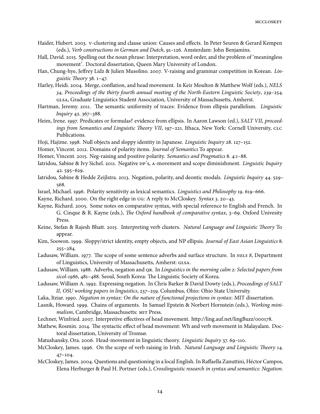- Haider, Hubert. 2003. v-clustering and clause union: Causes and effects. In Peter Seuren & Gerard Kempen (eds.), Verb constructions in German and Dutch, 91-126. Amsterdam: John Benjamins.
- Hall, David. 2015. Spelling out the noun phrase: Interpretation, word order, and the problem of 'meaningless movement'. Doctoral dissertation, Queen Mary University of London.
- Han, Chung-hye, Jeffrey Lidz & Julien Musolino. 2007. V-raising and grammar competition in Korean. Linguistic Theory  $38.1 - 47.$
- Harley, Heidi. 2004. Merge, conflation, and head movement. In Keir Moulton & Matthew Wolf (eds.), NELS  $34$ , Proceedings of the thirty fourth annual meeting of the North-Eastern Linguistic Society,  $239-254$ . , Graduate Linguistics Student Association, University of Massachusetts, Amherst.
- Hartman, Jeremy. 2011. The semantic uniformity of traces: Evidence from ellipsis parallelism. Linguistic Inquiry 42. 367-388.
- Heim, Irene. 1997. Predicates or formulas? evidence from ellipsis. In Aaron Lawson (ed.), SALT VII, proceedings from Semantics and Linguistic Theory VII, 197-221. Ithaca, New York: Cornell University, CLC Publications.
- Hoji, Hajime. 1998. Null objects and sloppy identity in Japanese. Linguistic Inquiry 28. 127-152.
- Homer, Vincent. 2012. Domains of polarity items. Journal of Semantics To appear.
- Homer, Vincent. 2015. Neg-raising and positive polarity. Semantics and Pragmatics 8. 4:1-88.
- Iatridou, Sabine & Ivy Sichel. 2011. Negative DP's, A-movement and scope diminishment. Linguistic Inquiry  $42.595 - 629.$
- Iatridou, Sabine & Hedde Zeijlstra. 2013. Negation, polarity, and deontic modals. *Linguistic Inquiry* 44. 529– 568.
- Israel, Michael. 1996. Polarity sensitivity as lexical semantics. *Linguistics and Philosophy* 19. 619–666.
- Kayne, Richard. 2000. On the right edge in  $\overline{u}$  are equal to McCloskey. Syntax 3. 20–43.
- Kayne, Richard. 2005. Some notes on comparative syntax, with special reference to English and French. In G. Cinque & R. Kayne (eds.), The Oxford handbook of comparative syntax, 3-69. Oxford Univesity Press.
- Keine, Stefan & Rajesh Bhatt. 2015. Interpreting verb clusters. Natural Language and Linguistic Theory To appear.
- Kim, Soowon. 1999. Sloppy/strict identity, empty objects, and NP ellipsis. Journal of East Asian Linguistics 8.  $255 - 284.$
- Ladusaw, William. 1977. The scope of some sentence adverbs and surface structure. In NELS 8, Department of Linguistics, University of Massachusetts, Amherst: GLSA.
- Ladusaw, William. 1988. Adverbs, negation and QR. In Linguistics in the morning calm 2: Selected papers from sicol-1986, 481-488. Seoul, South Korea: The Linguistic Society of Korea.
- Ladusaw, William A. 1992. Expressing negation. In Chris Barker & David Dowty (eds.), Proceedings of SALT II, OSU working papers in linguistics, 237-259. Columbus, Ohio: Ohio State University.
- Laka, Itziar. 1990. Negation in syntax: On the nature of functional projections in syntax: MIT dissertation.
- Lasnik, Howard. 1999. Chains of arguments. In Samuel Epstein & Norbert Hornstein (eds.), Working minimalism, Cambridge, Massachusetts: MIT Press.
- Lechner, Winfried. 2007. Interpretive effectives of head movement. http://ling.auf.net/lingBuzz/000178.
- Mathew, Rosmin. 2014. The syntactic effect of head movement: Wh and verb movement in Malayalam. Doctoral dissertation, University of Tromsø.
- Matushansky, Ora. 2006. Head-movement in linguistic theory. *Linguistic Inquiry*  $37.69$ –110.
- McCloskey, James. 1996. On the scope of verb raising in Irish. Natural Language and Linguistic Theory 14.  $47-104.$
- McCloskey, James. 2004. Questions and questioning in a local English. In Raffaella Zanuttini, Héctor Campos, Elena Herburger & Paul H. Portner (eds.), Crosslinguistic research in syntax and semantics: Negation.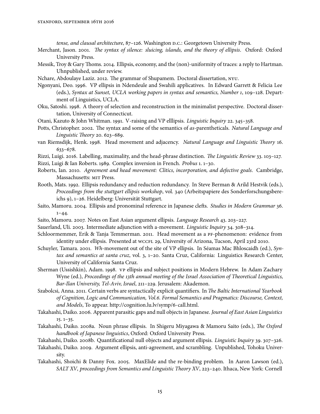tense, and clausal architecture, 87-126. Washington D.C.: Georgetown University Press.

- Merchant, Jason. 2001. The syntax of silence: sluicing, islands, and the theory of ellipsis. Oxford: Oxford University Press.
- Messik, Troy & Gary Thoms. 2014. Ellipsis, economy, and the (non)-uniformity of traces: a reply to Hartman. Uhnpublished, under review.
- Nchare, Abdoulaye Laziz. 2012. The grammar of Shupamem. Doctoral dissertation, NYU.
- Ngonyani, Deo. 1996. VP ellipsis in Ndendeule and Swahili applicatives. In Edward Garrett & Felicia Lee (eds.), Syntax at Sunset, UCLA working papers in syntax and semantics, Number 1, 109-128. Department of Linguistics, UCLA.
- Oku, Satoshi. 1998. A theory of selection and reconstruction in the minimalist perspective. Doctoral dissertation, University of Connecticut.
- Otani, Kazuto & John Whitman. 1991. V-raising and VP elllipsis. Linguistic Inquiry 22. 345-358.
- Potts, Christopher. 2002. The syntax and some of the semantics of as-parentheticals. Natural Language and Linguistic Theory 20. 623-689.
- van Riemsdijk, Henk. 1998. Head movement and adjacency. Natural Language and Linguistic Theory 16.  $633 - 678.$
- Rizzi, Luigi. 2016. Labelling, maximality, and the head-phrase distinction. The Linguistic Review 33. 103-127. Rizzi, Luigi & Ian Roberts. 1989. Complex inversion in French. Probus 1. 1-30.
- Roberts, Ian. 2010. Agreement and head movement: Clitics, incorporation, and defective goals. Cambridge, Massachusetts: MIT Press.
- Rooth, Mats. 1992. Ellipsis redundancy and reduction redundancy. In Steve Berman & Arild Hestvik (eds.), Proceedings from the stuttgart ellipsis workshop, vol. 340 (Arbeitspapiere des Sonderforschungsbereichs 9), 1-26. Heidelberg: Universität Stuttgart.
- Saito, Mamoru. 2004. Ellipsis and pronominal reference in Japanese clefts. Studies in Modern Grammar 36.  $1 - 44.$
- Saito, Mamoru. 2007. Notes on East Asian argument ellipsis. Language Research 43. 203-227.
- Sauerland, Uli. 2003. Intermediate adjunction with a-movement. Linguistic Inquiry 34. 308-314.
- Schloormemmer, Erik & Tanja Temmerman. 2011. Head movement as a PF-phenomenon: evidence from identity under ellipsis. Presented at wccrL 29, University of Arizona, Tucson, April 23rd 2010.
- Schuyler, Tamara. 2001. Wh-movement out of the site of VP ellipsis. In Séamas Mac Bhloscaidh (ed.), Syn $tax$  and semantics at santa cruz, vol. 3,  $1-20$ . Santa Cruz, California: Linguistics Research Center, University of California Santa Cruz.
- Sherman (Ussishkin), Adam. 1998. vp ellipsis and subject positions in Modern Hebrew. In Adam Zachary Wyne (ed.), Proceedings of the 13th annual meeting of the Israel Association of Theoretical Linguistics, Bar-Ilan University, Tel-Aviv, Israel, 211-229. Jerusalem: Akademon.
- Szabolcsi, Anna. 2011. Certain verbs are syntactically explicit quantifiers. In The Baltic International Yearbook of Cognition, Logic and Communication, Vol.6. Formal Semantics and Pragmatics: Discourse, Context, and Models, To appear. http://cognition.lu.lv/symp/6-call.html.
- Takahashi, Daiko. 2006. Apparent parasitic gaps and null objects in Japanese. Journal of East Asian Linguistics  $15.1 - 35.$
- Takahashi, Daiko. 2008a. Noun phrase ellipsis. In Shigeru Miyagawa & Mamoru Saito (eds.), The Oxford handbook of Japanese linguistics, Oxford: Oxford University Press.
- Takahashi, Daiko. 2008b. Quantificational null objects and argument ellipsis. Linguistic Inquiry 39. 307-326.
- Takahashi, Daiko. 2009. Argument ellipsis, anti-agreement, and scrambling. Unpublished, Tohoku University.
- Takahashi, Shoichi & Danny Fox. 2005. MaxElide and the re-binding problem. In Aaron Lawson (ed.), SALT XV, proceedings from Semantics and Linguistic Theory XV, 223-240. Ithaca, New York: Cornell